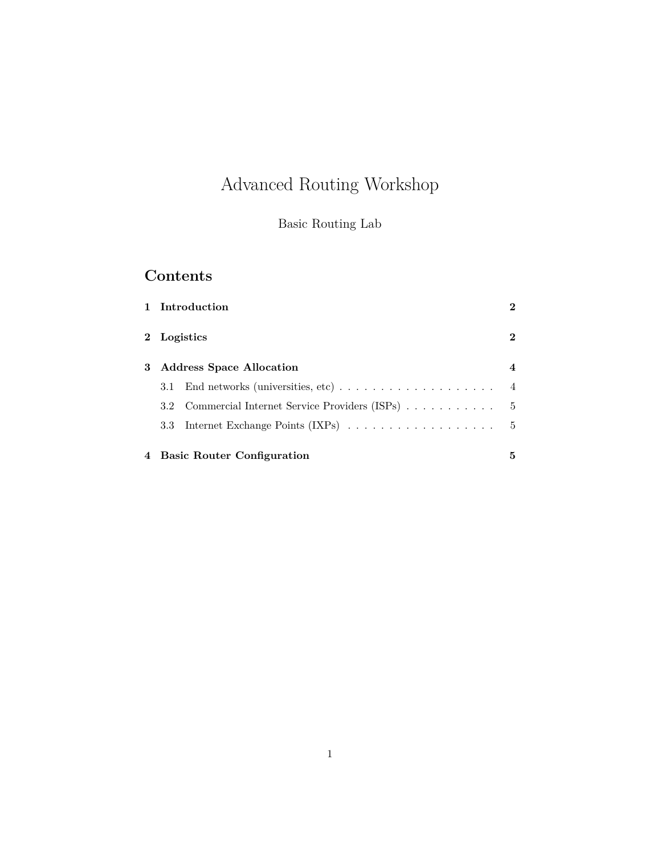# Advanced Routing Workshop

### Basic Routing Lab

## **Contents**

|   | Introduction                                                                        | $\mathbf 2$    |
|---|-------------------------------------------------------------------------------------|----------------|
|   | Logistics                                                                           | $\mathbf{2}$   |
| 3 | <b>Address Space Allocation</b>                                                     | 4              |
|   | End networks (universities, etc) $\ldots \ldots \ldots \ldots \ldots \ldots$<br>3.1 | $\overline{4}$ |
|   | 3.2 Commercial Internet Service Providers (ISPs)                                    | - 5            |
|   | 3.3 <sub>z</sub>                                                                    | - 5            |
| 4 | <b>Basic Router Configuration</b>                                                   | 5              |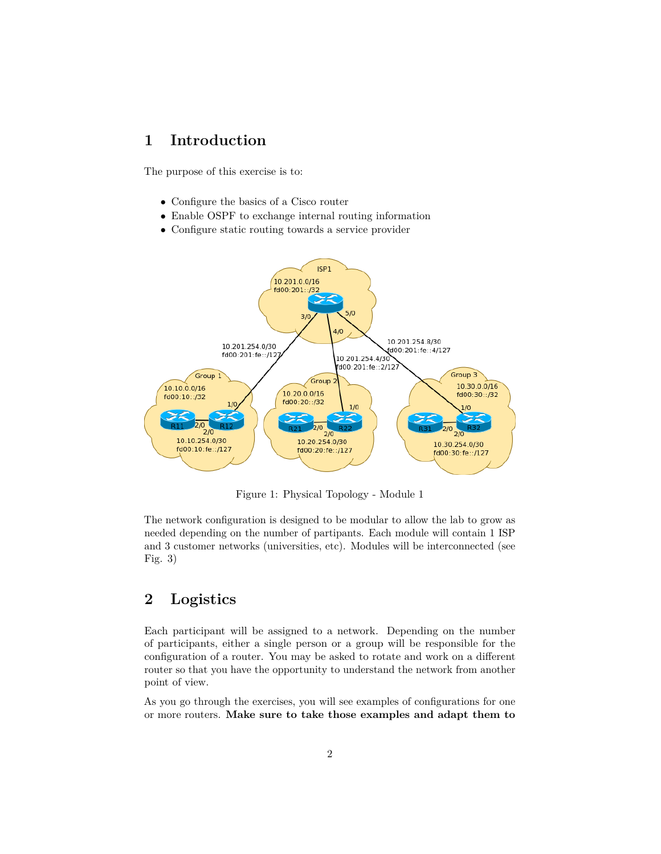### <span id="page-1-0"></span>**1 Introduction**

The purpose of this exercise is to:

- Configure the basics of a Cisco router
- Enable OSPF to exchange internal routing information
- Configure static routing towards a service provider



Figure 1: Physical Topology - Module 1

The network configuration is designed to be modular to allow the lab to grow as needed depending on the number of partipants. Each module will contain 1 ISP and 3 customer networks (universities, etc). Modules will be interconnected (see Fig. 3)

### <span id="page-1-1"></span>**2 Logistics**

Each participant will be assigned to a network. Depending on the number of participants, either a single person or a group will be responsible for the configuration of a router. You may be asked to rotate and work on a different router so that you have the opportunity to understand the network from another point of view.

As you go through the exercises, you will see examples of configurations for one or more routers. **Make sure to take those examples and adapt them to**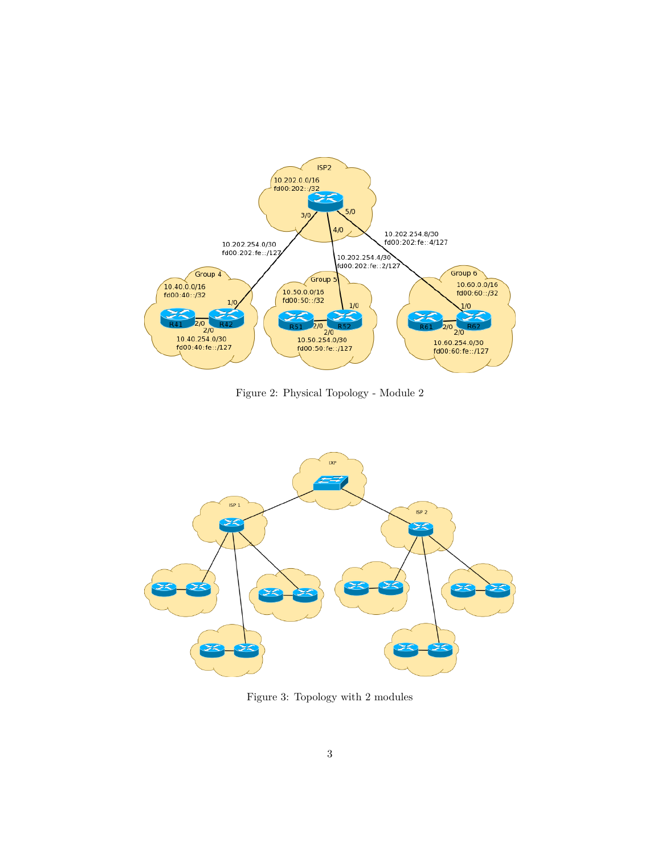

Figure 2: Physical Topology - Module 2



Figure 3: Topology with 2 modules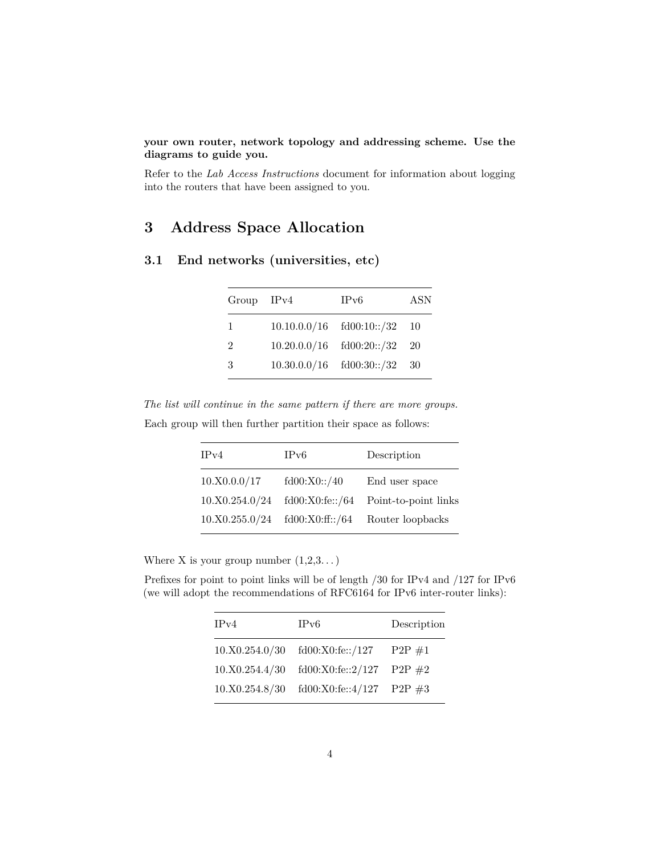#### **your own router, network topology and addressing scheme. Use the diagrams to guide you.**

Refer to the *Lab Access Instructions* document for information about logging into the routers that have been assigned to you.

### <span id="page-3-0"></span>**3 Address Space Allocation**

<span id="page-3-1"></span>

|  |  |  | 3.1 End networks (universities, etc) |  |  |
|--|--|--|--------------------------------------|--|--|
|--|--|--|--------------------------------------|--|--|

| Group IPv4     | $_{\rm IPv6}$                    | ASN |
|----------------|----------------------------------|-----|
| $\mathbf{1}$   | $10.10.0.0/16$ $fd00:10::/32$ 10 |     |
| $\overline{2}$ | $10.20.0.0/16$ $fd00:20::/32$ 20 |     |
| -3             | $10.30.0.0/16$ $fd00:30::/32$ 30 |     |

*The list will continue in the same pattern if there are more groups.* Each group will then further partition their space as follows:

| IPv4           | IPv6            | Description          |
|----------------|-----------------|----------------------|
| 10.X0.0.0/17   | fd00:X0::/40    | End user space       |
| 10.X0.254.0/24 | fd00:X0:fe::/64 | Point-to-point links |
| 10.X0.255.0/24 | fd00:X0:ff::/64 | Router loopbacks     |

Where X is your group number  $(1,2,3...)$ 

Prefixes for point to point links will be of length /30 for IPv4 and /127 for IPv6 (we will adopt the recommendations of RFC6164 for IPv6 inter-router links):

| IPv4           | IPv6                                | Description  |
|----------------|-------------------------------------|--------------|
|                | $10.X0.254.0/30$ $fd00:X0:fe::/127$ | $P2P \neq 1$ |
| 10.X0.254.4/30 | fd00:X0:fe::2/127                   | $P2P \#2$    |
| 10.X0.254.8/30 | fd00:X0:fe::4/127 P2P #3            |              |
|                |                                     |              |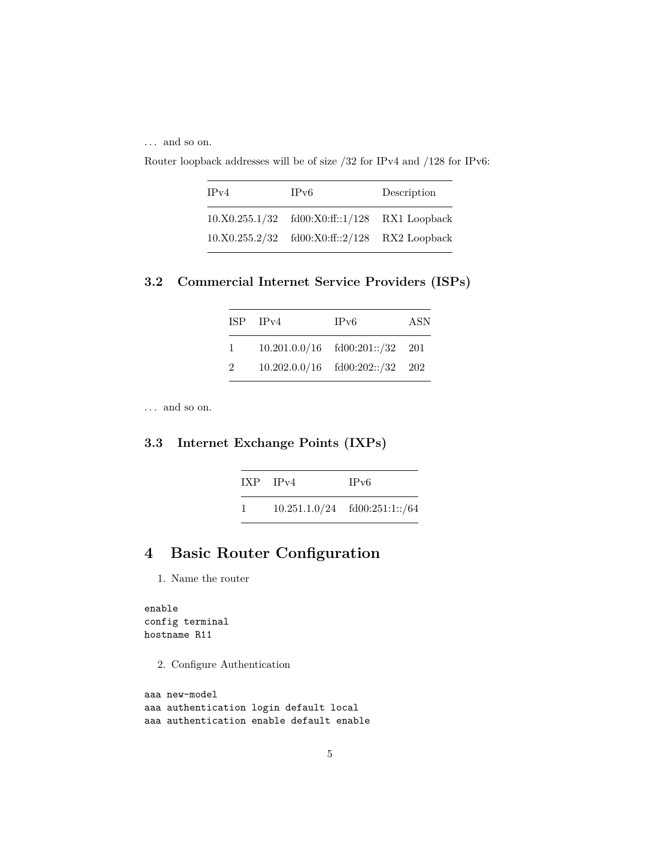. . . and so on.

Router loopback addresses will be of size /32 for IPv4 and /128 for IPv6:

| IPv4 | IPv6                                          | Description |
|------|-----------------------------------------------|-------------|
|      | 10.X0.255.1/32 fd00:X0:ff::1/128 RX1 Loopback |             |
|      | 10.X0.255.2/32 fd00:X0:ff::2/128 RX2 Loopback |             |

<span id="page-4-0"></span>**3.2 Commercial Internet Service Providers (ISPs)**

|               | $ISP$ $IPv4$ | IP <sub>v6</sub>                    | ASN |
|---------------|--------------|-------------------------------------|-----|
| 1.            |              | $10.201.0.0/16$ $fd00:201::/32$ 201 |     |
| $\mathcal{D}$ |              | $10.202.0.0/16$ $fd00:202::/32$ 202 |     |

. . . and so on.

#### <span id="page-4-1"></span>**3.3 Internet Exchange Points (IXPs)**

|   | $IXP$ $IPv4$ | IPv6                            |
|---|--------------|---------------------------------|
| 1 |              | $10.251.1.0/24$ fd00:251:1::/64 |

### <span id="page-4-2"></span>**4 Basic Router Configuration**

1. Name the router

enable config terminal hostname R11

2. Configure Authentication

```
aaa new-model
aaa authentication login default local
aaa authentication enable default enable
```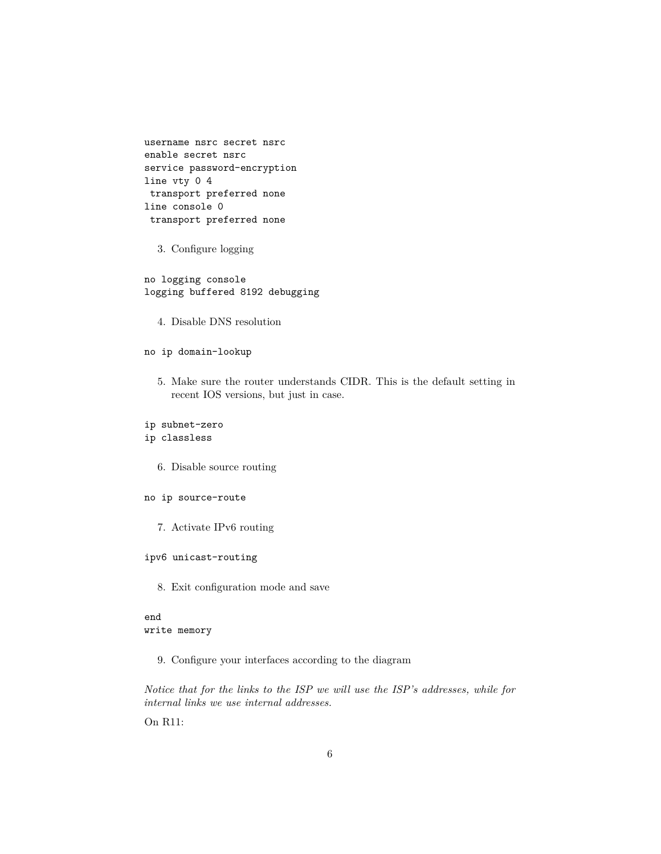username nsrc secret nsrc enable secret nsrc service password-encryption line vty 0 4 transport preferred none line console 0 transport preferred none

3. Configure logging

no logging console logging buffered 8192 debugging

4. Disable DNS resolution

#### no ip domain-lookup

5. Make sure the router understands CIDR. This is the default setting in recent IOS versions, but just in case.

### ip subnet-zero

- ip classless
	- 6. Disable source routing
- no ip source-route
	- 7. Activate IPv6 routing

#### ipv6 unicast-routing

8. Exit configuration mode and save

#### end write memory

9. Configure your interfaces according to the diagram

*Notice that for the links to the ISP we will use the ISP's addresses, while for internal links we use internal addresses.*

On R11: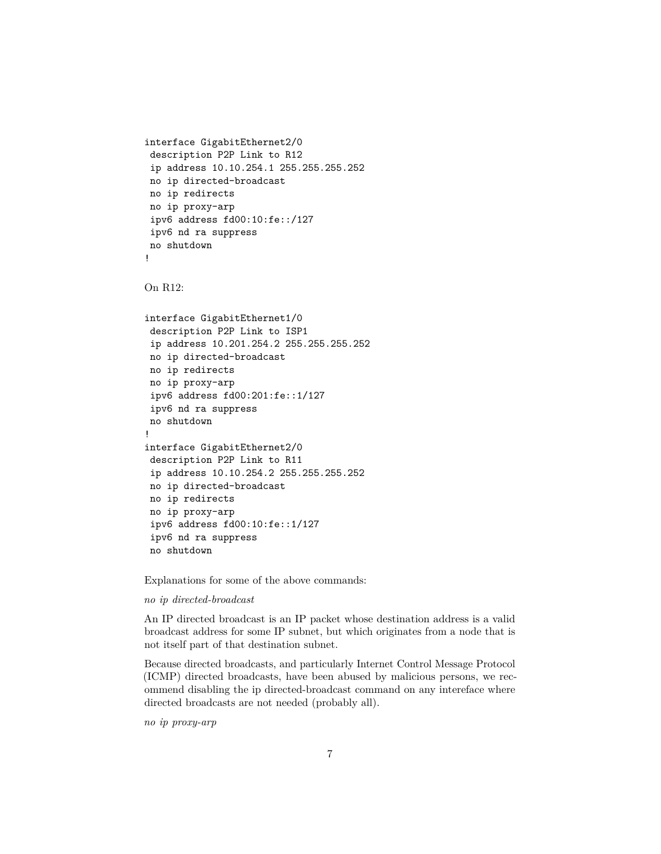```
interface GigabitEthernet2/0
description P2P Link to R12
ip address 10.10.254.1 255.255.255.252
no ip directed-broadcast
no ip redirects
no ip proxy-arp
ipv6 address fd00:10:fe::/127
ipv6 nd ra suppress
no shutdown
!
```

```
On R12:
```

```
interface GigabitEthernet1/0
description P2P Link to ISP1
ip address 10.201.254.2 255.255.255.252
no ip directed-broadcast
no ip redirects
no ip proxy-arp
ipv6 address fd00:201:fe::1/127
ipv6 nd ra suppress
no shutdown
!
interface GigabitEthernet2/0
description P2P Link to R11
ip address 10.10.254.2 255.255.255.252
no ip directed-broadcast
no ip redirects
no ip proxy-arp
ipv6 address fd00:10:fe::1/127
ipv6 nd ra suppress
no shutdown
```
Explanations for some of the above commands:

#### *no ip directed-broadcast*

An IP directed broadcast is an IP packet whose destination address is a valid broadcast address for some IP subnet, but which originates from a node that is not itself part of that destination subnet.

Because directed broadcasts, and particularly Internet Control Message Protocol (ICMP) directed broadcasts, have been abused by malicious persons, we recommend disabling the ip directed-broadcast command on any intereface where directed broadcasts are not needed (probably all).

*no ip proxy-arp*